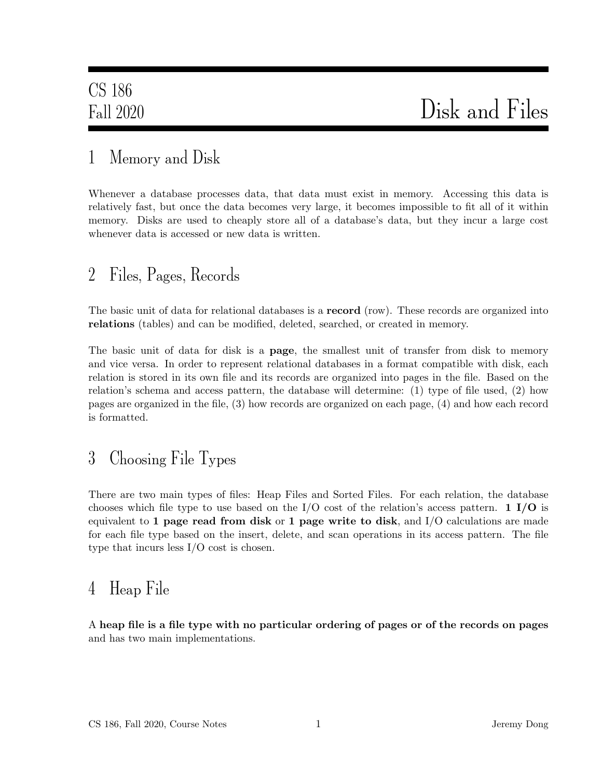### 1 Memory and Disk

Whenever a database processes data, that data must exist in memory. Accessing this data is relatively fast, but once the data becomes very large, it becomes impossible to fit all of it within memory. Disks are used to cheaply store all of a database's data, but they incur a large cost whenever data is accessed or new data is written.

### 2 Files, Pages, Records

The basic unit of data for relational databases is a **record** (row). These records are organized into relations (tables) and can be modified, deleted, searched, or created in memory.

The basic unit of data for disk is a **page**, the smallest unit of transfer from disk to memory and vice versa. In order to represent relational databases in a format compatible with disk, each relation is stored in its own file and its records are organized into pages in the file. Based on the relation's schema and access pattern, the database will determine: (1) type of file used, (2) how pages are organized in the file, (3) how records are organized on each page, (4) and how each record is formatted.

# 3 Choosing File Types

There are two main types of files: Heap Files and Sorted Files. For each relation, the database chooses which file type to use based on the I/O cost of the relation's access pattern. 1 I/O is equivalent to 1 page read from disk or 1 page write to disk, and  $I/O$  calculations are made for each file type based on the insert, delete, and scan operations in its access pattern. The file type that incurs less I/O cost is chosen.

### 4 Heap File

A heap file is a file type with no particular ordering of pages or of the records on pages and has two main implementations.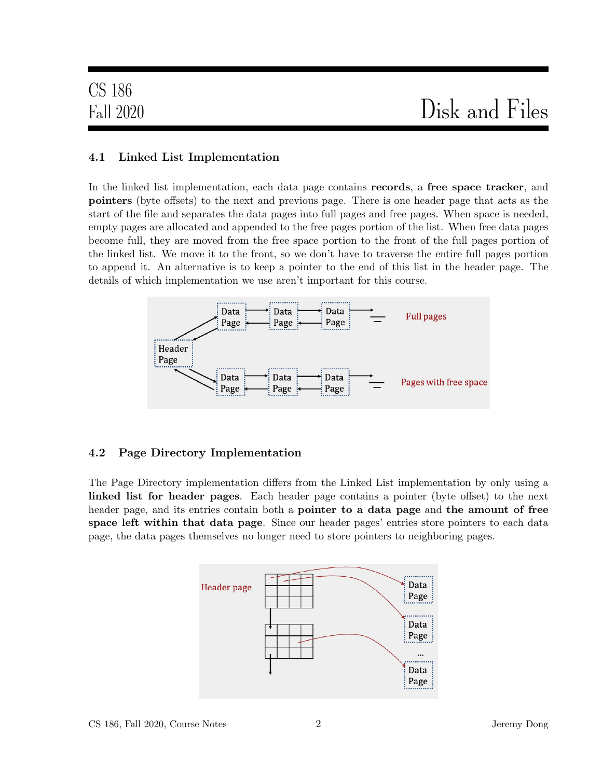### 4.1 Linked List Implementation

In the linked list implementation, each data page contains **records**, a free space tracker, and pointers (byte offsets) to the next and previous page. There is one header page that acts as the start of the file and separates the data pages into full pages and free pages. When space is needed, empty pages are allocated and appended to the free pages portion of the list. When free data pages become full, they are moved from the free space portion to the front of the full pages portion of the linked list. We move it to the front, so we don't have to traverse the entire full pages portion to append it. An alternative is to keep a pointer to the end of this list in the header page. The details of which implementation we use aren't important for this course.



#### 4.2 Page Directory Implementation

The Page Directory implementation differs from the Linked List implementation by only using a linked list for header pages. Each header page contains a pointer (byte offset) to the next header page, and its entries contain both a **pointer to a data page** and **the amount of free** space left within that data page. Since our header pages' entries store pointers to each data page, the data pages themselves no longer need to store pointers to neighboring pages.

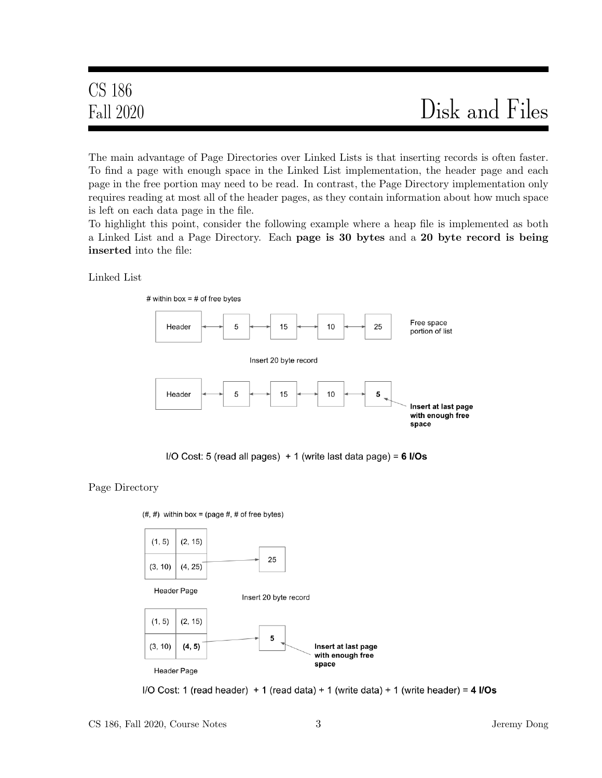# Fall 2020 Disk and Files

The main advantage of Page Directories over Linked Lists is that inserting records is often faster. To find a page with enough space in the Linked List implementation, the header page and each page in the free portion may need to be read. In contrast, the Page Directory implementation only requires reading at most all of the header pages, as they contain information about how much space is left on each data page in the file.

To highlight this point, consider the following example where a heap file is implemented as both a Linked List and a Page Directory. Each page is 30 bytes and a 20 byte record is being inserted into the file:

Linked List



I/O Cost: 5 (read all pages)  $+1$  (write last data page) = 6 I/Os

Page Directory

 $(\#,\#)$  within box = (page  $\#$ ,  $\#$  of free bytes)



I/O Cost: 1 (read header)  $+1$  (read data)  $+1$  (write data)  $+1$  (write header) = 4 I/Os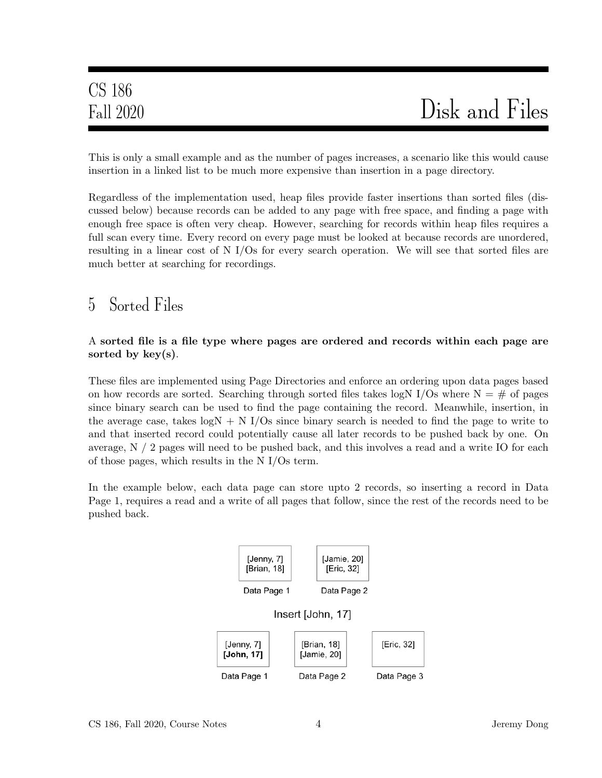This is only a small example and as the number of pages increases, a scenario like this would cause insertion in a linked list to be much more expensive than insertion in a page directory.

Regardless of the implementation used, heap files provide faster insertions than sorted files (discussed below) because records can be added to any page with free space, and finding a page with enough free space is often very cheap. However, searching for records within heap files requires a full scan every time. Every record on every page must be looked at because records are unordered, resulting in a linear cost of N I/Os for every search operation. We will see that sorted files are much better at searching for recordings.

### 5 Sorted Files

#### A sorted file is a file type where pages are ordered and records within each page are sorted by key(s).

These files are implemented using Page Directories and enforce an ordering upon data pages based on how records are sorted. Searching through sorted files takes logN I/Os where  $N = #$  of pages since binary search can be used to find the page containing the record. Meanwhile, insertion, in the average case, takes  $logN + N$  I/Os since binary search is needed to find the page to write to and that inserted record could potentially cause all later records to be pushed back by one. On average, N / 2 pages will need to be pushed back, and this involves a read and a write IO for each of those pages, which results in the N I/Os term.

In the example below, each data page can store upto 2 records, so inserting a record in Data Page 1, requires a read and a write of all pages that follow, since the rest of the records need to be pushed back.

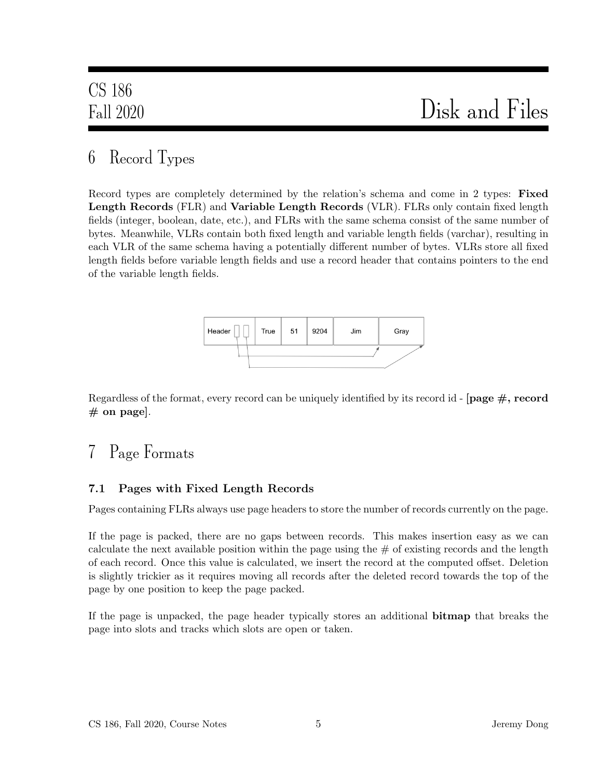# 6 Record Types

Record types are completely determined by the relation's schema and come in 2 types: Fixed Length Records (FLR) and Variable Length Records (VLR). FLRs only contain fixed length fields (integer, boolean, date, etc.), and FLRs with the same schema consist of the same number of bytes. Meanwhile, VLRs contain both fixed length and variable length fields (varchar), resulting in each VLR of the same schema having a potentially different number of bytes. VLRs store all fixed length fields before variable length fields and use a record header that contains pointers to the end of the variable length fields.



Regardless of the format, every record can be uniquely identified by its record id - [page  $\#$ , record  $#$  on page].

# 7 Page Formats

### 7.1 Pages with Fixed Length Records

Pages containing FLRs always use page headers to store the number of records currently on the page.

If the page is packed, there are no gaps between records. This makes insertion easy as we can calculate the next available position within the page using the  $\#$  of existing records and the length of each record. Once this value is calculated, we insert the record at the computed offset. Deletion is slightly trickier as it requires moving all records after the deleted record towards the top of the page by one position to keep the page packed.

If the page is unpacked, the page header typically stores an additional bitmap that breaks the page into slots and tracks which slots are open or taken.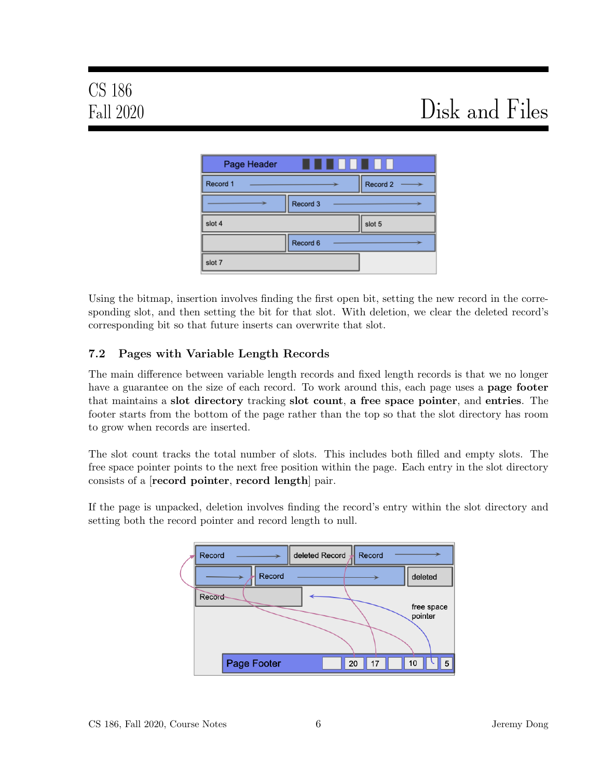| Page Header | .        |          |
|-------------|----------|----------|
| Record 1    |          | Record 2 |
|             | Record 3 |          |
| slot 4      |          | slot 5   |
|             | Record 6 |          |
| slot 7      |          |          |

Using the bitmap, insertion involves finding the first open bit, setting the new record in the corresponding slot, and then setting the bit for that slot. With deletion, we clear the deleted record's corresponding bit so that future inserts can overwrite that slot.

### 7.2 Pages with Variable Length Records

The main difference between variable length records and fixed length records is that we no longer have a guarantee on the size of each record. To work around this, each page uses a **page footer** that maintains a slot directory tracking slot count, a free space pointer, and entries. The footer starts from the bottom of the page rather than the top so that the slot directory has room to grow when records are inserted.

The slot count tracks the total number of slots. This includes both filled and empty slots. The free space pointer points to the next free position within the page. Each entry in the slot directory consists of a [record pointer, record length] pair.

If the page is unpacked, deletion involves finding the record's entry within the slot directory and setting both the record pointer and record length to null.

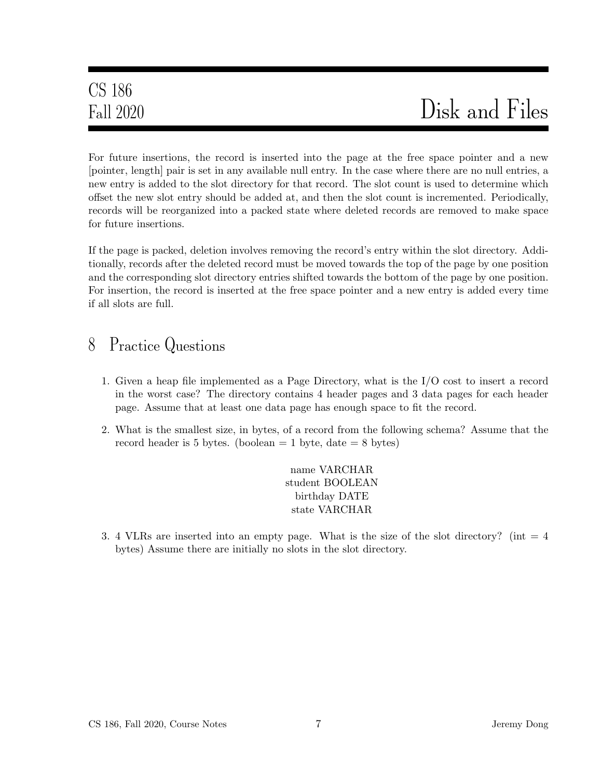For future insertions, the record is inserted into the page at the free space pointer and a new [pointer, length] pair is set in any available null entry. In the case where there are no null entries, a new entry is added to the slot directory for that record. The slot count is used to determine which offset the new slot entry should be added at, and then the slot count is incremented. Periodically, records will be reorganized into a packed state where deleted records are removed to make space for future insertions.

If the page is packed, deletion involves removing the record's entry within the slot directory. Additionally, records after the deleted record must be moved towards the top of the page by one position and the corresponding slot directory entries shifted towards the bottom of the page by one position. For insertion, the record is inserted at the free space pointer and a new entry is added every time if all slots are full.

### 8 Practice Questions

- 1. Given a heap file implemented as a Page Directory, what is the I/O cost to insert a record in the worst case? The directory contains 4 header pages and 3 data pages for each header page. Assume that at least one data page has enough space to fit the record.
- 2. What is the smallest size, in bytes, of a record from the following schema? Assume that the record header is 5 bytes. (boolean  $= 1$  byte, date  $= 8$  bytes)

name VARCHAR student BOOLEAN birthday DATE state VARCHAR

3. 4 VLRs are inserted into an empty page. What is the size of the slot directory? (int  $= 4$ ) bytes) Assume there are initially no slots in the slot directory.